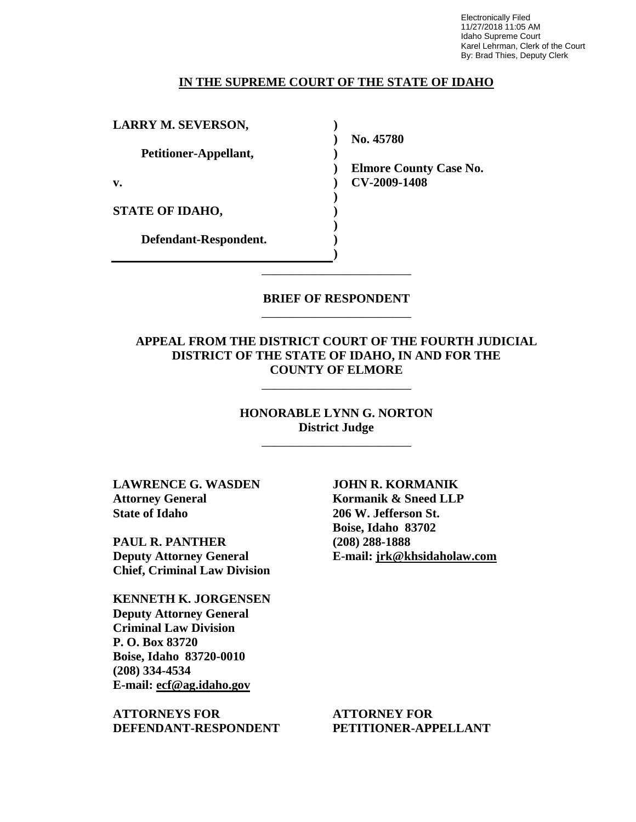Electronically Filed 11/27/2018 11:05 AM Idaho Supreme Court Karel Lehrman, Clerk of the Court By: Brad Thies, Deputy Clerk

#### **IN THE SUPREME COURT OF THE STATE OF IDAHO**

**) ) )** 

**) ) ) ) ) )**

**LARRY M. SEVERSON,**

**Petitioner-Appellant,**

**v.**

**STATE OF IDAHO,**

**Defendant-Respondent.**

**No. 45780** 

**) Elmore County Case No. CV-2009-1408** 

**BRIEF OF RESPONDENT** \_\_\_\_\_\_\_\_\_\_\_\_\_\_\_\_\_\_\_\_\_\_\_\_

\_\_\_\_\_\_\_\_\_\_\_\_\_\_\_\_\_\_\_\_\_\_\_\_

## **APPEAL FROM THE DISTRICT COURT OF THE FOURTH JUDICIAL DISTRICT OF THE STATE OF IDAHO, IN AND FOR THE COUNTY OF ELMORE**

\_\_\_\_\_\_\_\_\_\_\_\_\_\_\_\_\_\_\_\_\_\_\_\_

## **HONORABLE LYNN G. NORTON District Judge**

\_\_\_\_\_\_\_\_\_\_\_\_\_\_\_\_\_\_\_\_\_\_\_\_

**LAWRENCE G. WASDEN Attorney General State of Idaho**

**PAUL R. PANTHER Deputy Attorney General Chief, Criminal Law Division**

**KENNETH K. JORGENSEN Deputy Attorney General Criminal Law Division P. O. Box 83720 Boise, Idaho 83720-0010 (208) 334-4534 E-mail: ecf@ag.idaho.gov** 

**ATTORNEYS FOR DEFENDANT-RESPONDENT** **JOHN R. KORMANIK Kormanik & Sneed LLP 206 W. Jefferson St. Boise, Idaho 83702 (208) 288-1888 E-mail: jrk@khsidaholaw.com** 

**ATTORNEY FOR PETITIONER-APPELLANT**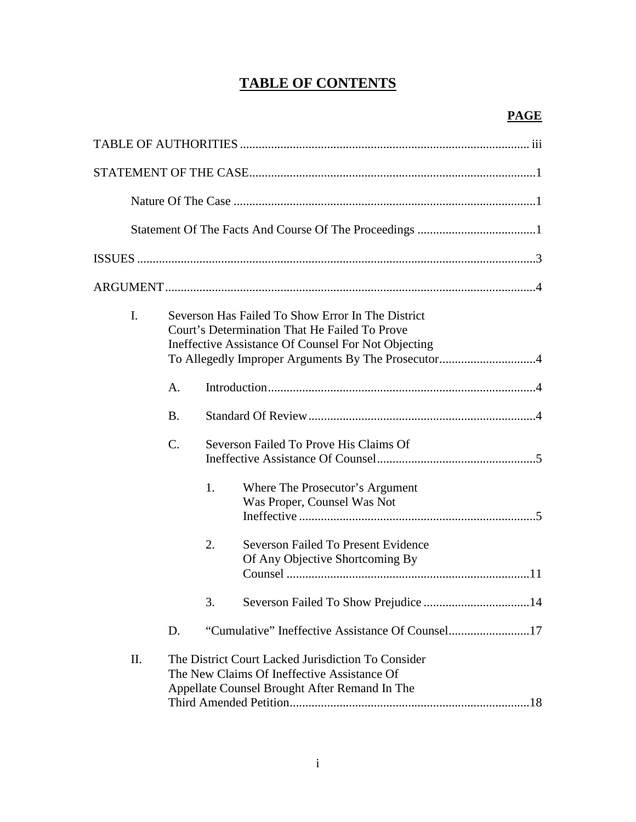# **TABLE OF CONTENTS**

| I. |           | Severson Has Failed To Show Error In The District<br>Court's Determination That He Failed To Prove<br>Ineffective Assistance Of Counsel For Not Objecting |                                                                               |  |  |
|----|-----------|-----------------------------------------------------------------------------------------------------------------------------------------------------------|-------------------------------------------------------------------------------|--|--|
|    | A.        |                                                                                                                                                           |                                                                               |  |  |
|    | <b>B.</b> |                                                                                                                                                           |                                                                               |  |  |
|    | C.        |                                                                                                                                                           | Severson Failed To Prove His Claims Of                                        |  |  |
|    |           | 1.                                                                                                                                                        | Where The Prosecutor's Argument<br>Was Proper, Counsel Was Not                |  |  |
|    |           | 2.                                                                                                                                                        | <b>Severson Failed To Present Evidence</b><br>Of Any Objective Shortcoming By |  |  |
|    |           | 3.                                                                                                                                                        |                                                                               |  |  |
|    | D.        |                                                                                                                                                           |                                                                               |  |  |
| Π. |           | The District Court Lacked Jurisdiction To Consider<br>The New Claims Of Ineffective Assistance Of<br>Appellate Counsel Brought After Remand In The        |                                                                               |  |  |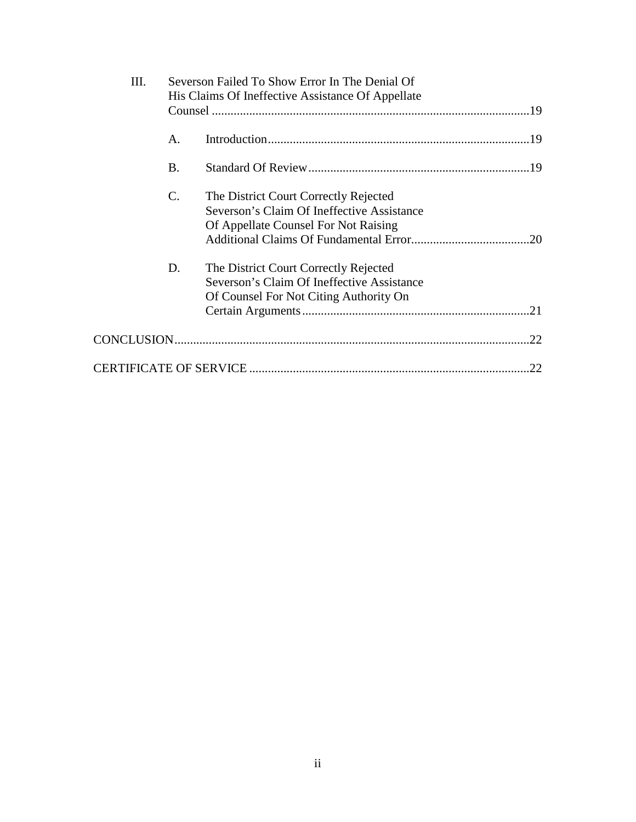| Ш. |                | Severson Failed To Show Error In The Denial Of                                                                                |     |
|----|----------------|-------------------------------------------------------------------------------------------------------------------------------|-----|
|    |                | His Claims Of Ineffective Assistance Of Appellate                                                                             |     |
|    | A.             |                                                                                                                               |     |
|    | <b>B.</b>      |                                                                                                                               |     |
|    | $\mathbf{C}$ . | The District Court Correctly Rejected<br>Severson's Claim Of Ineffective Assistance<br>Of Appellate Counsel For Not Raising   | .20 |
|    | D.             | The District Court Correctly Rejected<br>Severson's Claim Of Ineffective Assistance<br>Of Counsel For Not Citing Authority On |     |
|    |                |                                                                                                                               | 22. |
|    |                |                                                                                                                               | .22 |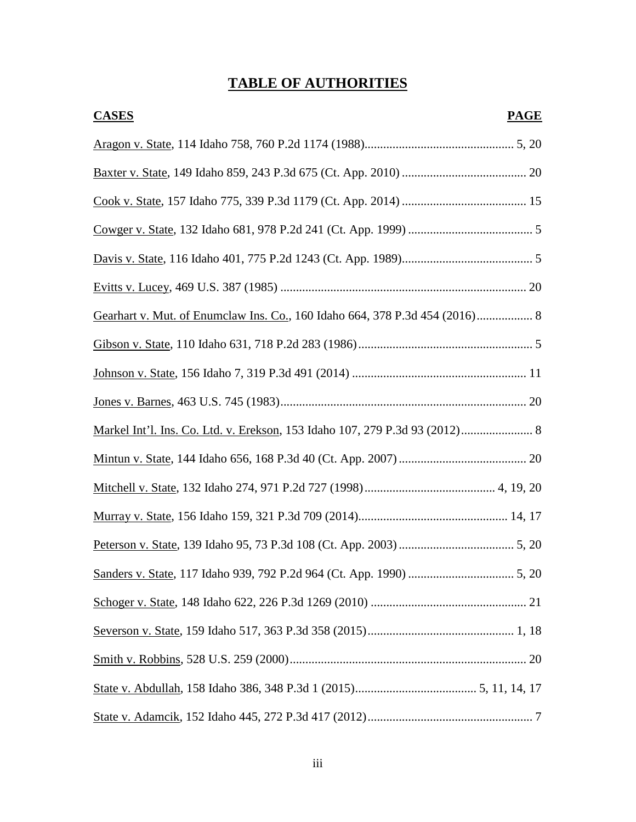# **TABLE OF AUTHORITIES**

| <b>CASES</b>                                                                | <b>PAGE</b> |
|-----------------------------------------------------------------------------|-------------|
|                                                                             |             |
|                                                                             |             |
|                                                                             |             |
|                                                                             |             |
|                                                                             |             |
|                                                                             |             |
| Gearhart v. Mut. of Enumclaw Ins. Co., 160 Idaho 664, 378 P.3d 454 (2016) 8 |             |
|                                                                             |             |
|                                                                             |             |
|                                                                             |             |
| Markel Int'l. Ins. Co. Ltd. v. Erekson, 153 Idaho 107, 279 P.3d 93 (2012) 8 |             |
|                                                                             |             |
|                                                                             |             |
|                                                                             |             |
|                                                                             |             |
|                                                                             |             |
|                                                                             |             |
|                                                                             |             |
|                                                                             |             |
|                                                                             |             |
|                                                                             |             |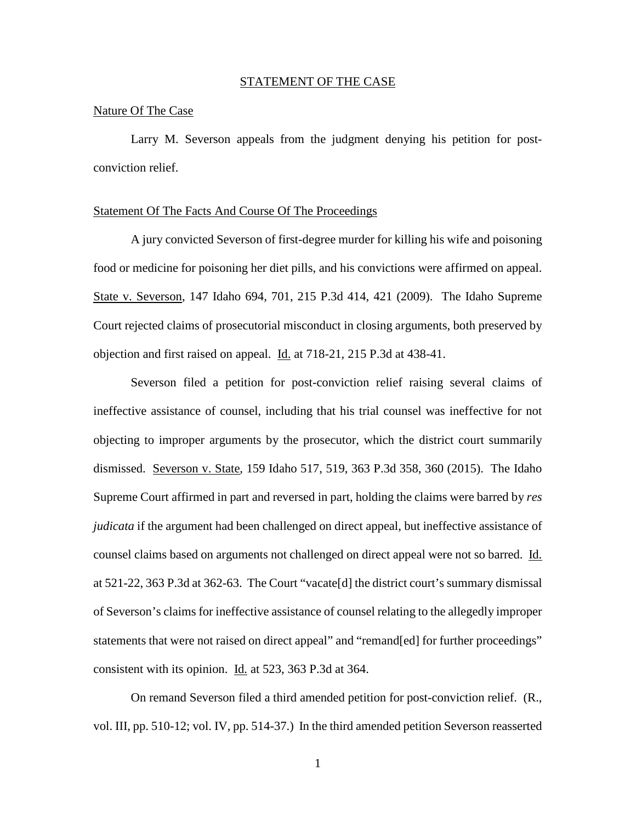#### STATEMENT OF THE CASE

#### Nature Of The Case

Larry M. Severson appeals from the judgment denying his petition for postconviction relief.

#### Statement Of The Facts And Course Of The Proceedings

A jury convicted Severson of first-degree murder for killing his wife and poisoning food or medicine for poisoning her diet pills, and his convictions were affirmed on appeal. State v. Severson, 147 Idaho 694, 701, 215 P.3d 414, 421 (2009). The Idaho Supreme Court rejected claims of prosecutorial misconduct in closing arguments, both preserved by objection and first raised on appeal. Id. at 718-21, 215 P.3d at 438-41.

Severson filed a petition for post-conviction relief raising several claims of ineffective assistance of counsel, including that his trial counsel was ineffective for not objecting to improper arguments by the prosecutor, which the district court summarily dismissed. Severson v. State, 159 Idaho 517, 519, 363 P.3d 358, 360 (2015). The Idaho Supreme Court affirmed in part and reversed in part, holding the claims were barred by *res judicata* if the argument had been challenged on direct appeal, but ineffective assistance of counsel claims based on arguments not challenged on direct appeal were not so barred. Id. at 521-22, 363 P.3d at 362-63. The Court "vacate[d] the district court's summary dismissal of Severson's claims for ineffective assistance of counsel relating to the allegedly improper statements that were not raised on direct appeal" and "remand[ed] for further proceedings" consistent with its opinion. Id. at 523, 363 P.3d at 364.

 On remand Severson filed a third amended petition for post-conviction relief. (R., vol. III, pp. 510-12; vol. IV, pp. 514-37.) In the third amended petition Severson reasserted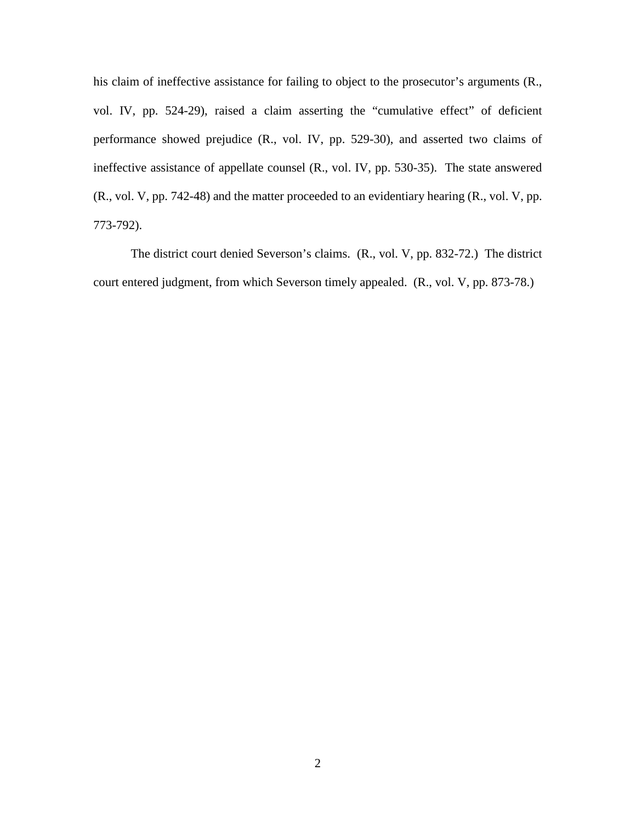his claim of ineffective assistance for failing to object to the prosecutor's arguments (R., vol. IV, pp. 524-29), raised a claim asserting the "cumulative effect" of deficient performance showed prejudice (R., vol. IV, pp. 529-30), and asserted two claims of ineffective assistance of appellate counsel (R., vol. IV, pp. 530-35). The state answered (R., vol. V, pp. 742-48) and the matter proceeded to an evidentiary hearing (R., vol. V, pp. 773-792).

The district court denied Severson's claims. (R., vol. V, pp. 832-72.) The district court entered judgment, from which Severson timely appealed. (R., vol. V, pp. 873-78.)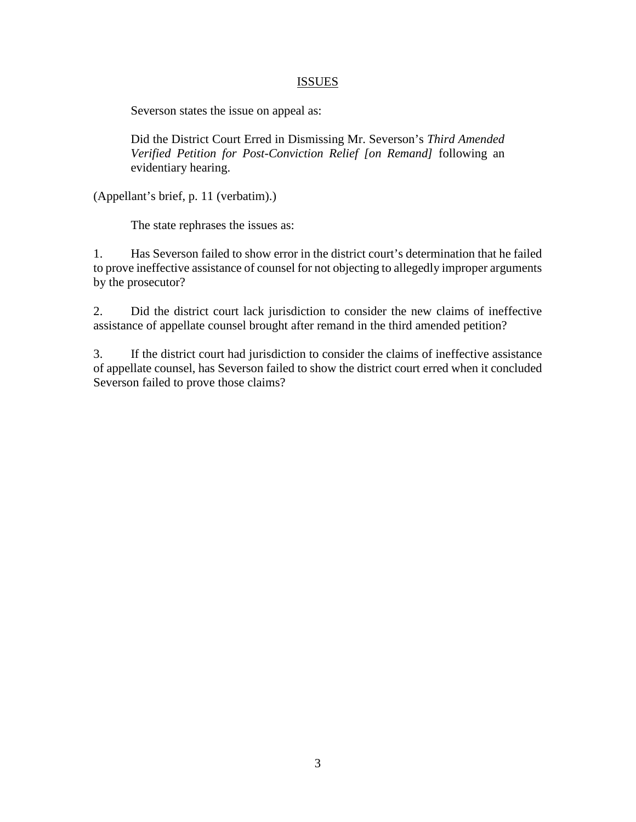## ISSUES

Severson states the issue on appeal as:

Did the District Court Erred in Dismissing Mr. Severson's *Third Amended Verified Petition for Post-Conviction Relief [on Remand]* following an evidentiary hearing.

(Appellant's brief, p. 11 (verbatim).)

The state rephrases the issues as:

1. Has Severson failed to show error in the district court's determination that he failed to prove ineffective assistance of counsel for not objecting to allegedly improper arguments by the prosecutor?

2. Did the district court lack jurisdiction to consider the new claims of ineffective assistance of appellate counsel brought after remand in the third amended petition?

3. If the district court had jurisdiction to consider the claims of ineffective assistance of appellate counsel, has Severson failed to show the district court erred when it concluded Severson failed to prove those claims?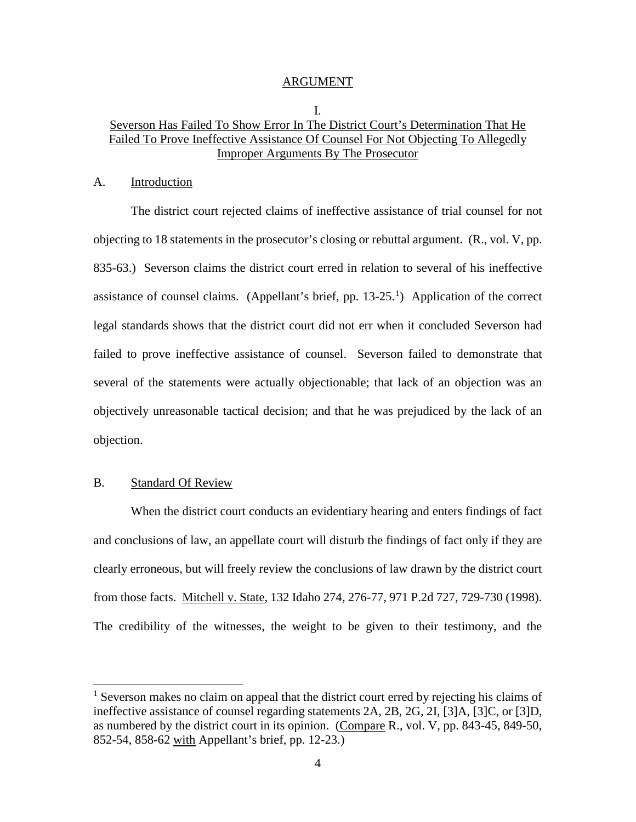#### ARGUMENT

## I. Severson Has Failed To Show Error In The District Court's Determination That He Failed To Prove Ineffective Assistance Of Counsel For Not Objecting To Allegedly Improper Arguments By The Prosecutor

## A. Introduction

The district court rejected claims of ineffective assistance of trial counsel for not objecting to 18 statements in the prosecutor's closing or rebuttal argument. (R., vol. V, pp. 835-63.) Severson claims the district court erred in relation to several of his ineffective assistance of counsel claims. (Appellant's brief, pp.  $13-25$  $13-25$ .<sup>1</sup>) Application of the correct legal standards shows that the district court did not err when it concluded Severson had failed to prove ineffective assistance of counsel. Severson failed to demonstrate that several of the statements were actually objectionable; that lack of an objection was an objectively unreasonable tactical decision; and that he was prejudiced by the lack of an objection.

#### B. Standard Of Review

 $\overline{a}$ 

When the district court conducts an evidentiary hearing and enters findings of fact and conclusions of law, an appellate court will disturb the findings of fact only if they are clearly erroneous, but will freely review the conclusions of law drawn by the district court from those facts. Mitchell v. State, 132 Idaho 274, 276-77, 971 P.2d 727, 729-730 (1998). The credibility of the witnesses, the weight to be given to their testimony, and the

<sup>&</sup>lt;sup>1</sup> Severson makes no claim on appeal that the district court erred by rejecting his claims of ineffective assistance of counsel regarding statements 2A, 2B, 2G, 2I, [3]A, [3]C, or [3]D, as numbered by the district court in its opinion. (Compare R., vol. V, pp. 843-45, 849-50, 852-54, 858-62 with Appellant's brief, pp. 12-23.)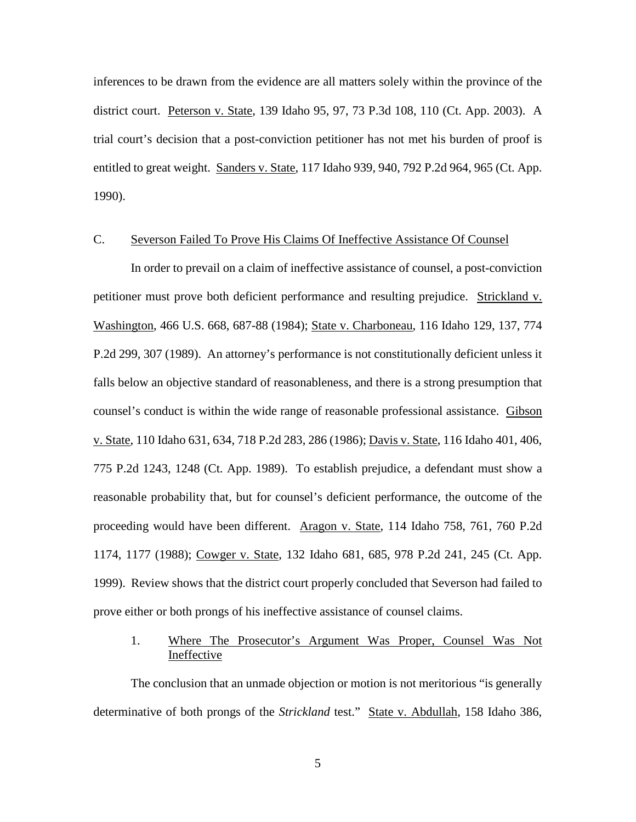inferences to be drawn from the evidence are all matters solely within the province of the district court. Peterson v. State, 139 Idaho 95, 97, 73 P.3d 108, 110 (Ct. App. 2003). A trial court's decision that a post-conviction petitioner has not met his burden of proof is entitled to great weight. Sanders v. State, 117 Idaho 939, 940, 792 P.2d 964, 965 (Ct. App. 1990).

#### C. Severson Failed To Prove His Claims Of Ineffective Assistance Of Counsel

In order to prevail on a claim of ineffective assistance of counsel, a post-conviction petitioner must prove both deficient performance and resulting prejudice. Strickland v. Washington, 466 U.S. 668, 687-88 (1984); State v. Charboneau, 116 Idaho 129, 137, 774 P.2d 299, 307 (1989). An attorney's performance is not constitutionally deficient unless it falls below an objective standard of reasonableness, and there is a strong presumption that counsel's conduct is within the wide range of reasonable professional assistance. Gibson v. State, 110 Idaho 631, 634, 718 P.2d 283, 286 (1986); Davis v. State, 116 Idaho 401, 406, 775 P.2d 1243, 1248 (Ct. App. 1989). To establish prejudice, a defendant must show a reasonable probability that, but for counsel's deficient performance, the outcome of the proceeding would have been different. Aragon v. State, 114 Idaho 758, 761, 760 P.2d 1174, 1177 (1988); Cowger v. State, 132 Idaho 681, 685, 978 P.2d 241, 245 (Ct. App. 1999). Review shows that the district court properly concluded that Severson had failed to prove either or both prongs of his ineffective assistance of counsel claims.

## 1. Where The Prosecutor's Argument Was Proper, Counsel Was Not Ineffective

The conclusion that an unmade objection or motion is not meritorious "is generally determinative of both prongs of the *Strickland* test." State v. Abdullah, 158 Idaho 386,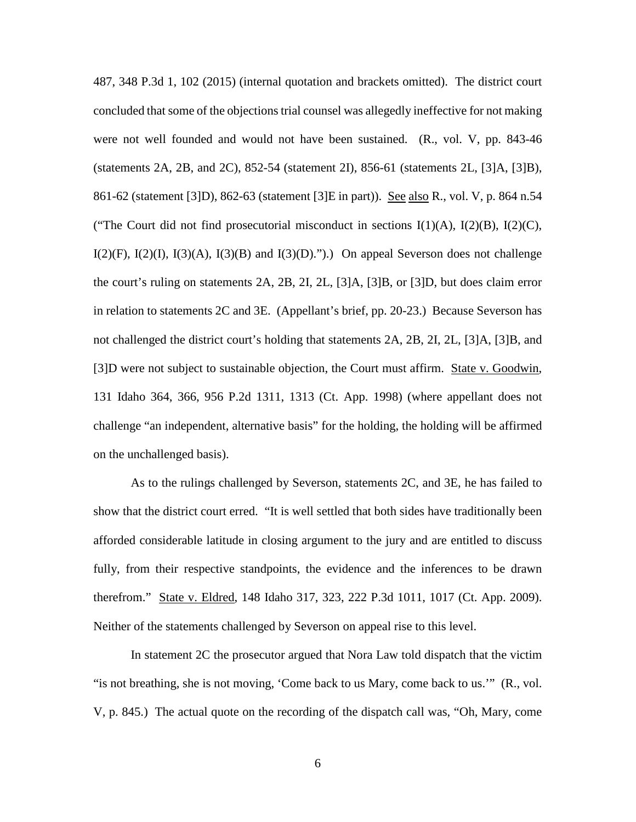487, 348 P.3d 1, 102 (2015) (internal quotation and brackets omitted). The district court concluded that some of the objections trial counsel was allegedly ineffective for not making were not well founded and would not have been sustained. (R., vol. V, pp. 843-46 (statements 2A, 2B, and 2C), 852-54 (statement 2I), 856-61 (statements 2L, [3]A, [3]B), 861-62 (statement [3]D), 862-63 (statement [3]E in part)). See also R., vol. V, p. 864 n.54 ("The Court did not find prosecutorial misconduct in sections  $I(1)(A)$ ,  $I(2)(B)$ ,  $I(2)(C)$ ,  $I(2)(F)$ ,  $I(2)(I)$ ,  $I(3)(A)$ ,  $I(3)(B)$  and  $I(3)(D)$ .").) On appeal Severson does not challenge the court's ruling on statements 2A, 2B, 2I, 2L, [3]A, [3]B, or [3]D, but does claim error in relation to statements 2C and 3E. (Appellant's brief, pp. 20-23.) Because Severson has not challenged the district court's holding that statements 2A, 2B, 2I, 2L, [3]A, [3]B, and [3]D were not subject to sustainable objection, the Court must affirm. State v. Goodwin, 131 Idaho 364, 366, 956 P.2d 1311, 1313 (Ct. App. 1998) (where appellant does not challenge "an independent, alternative basis" for the holding, the holding will be affirmed on the unchallenged basis).

As to the rulings challenged by Severson, statements 2C, and 3E, he has failed to show that the district court erred. "It is well settled that both sides have traditionally been afforded considerable latitude in closing argument to the jury and are entitled to discuss fully, from their respective standpoints, the evidence and the inferences to be drawn therefrom." State v. Eldred, 148 Idaho 317, 323, 222 P.3d 1011, 1017 (Ct. App. 2009). Neither of the statements challenged by Severson on appeal rise to this level.

In statement 2C the prosecutor argued that Nora Law told dispatch that the victim "is not breathing, she is not moving, 'Come back to us Mary, come back to us.'" (R., vol. V, p. 845.) The actual quote on the recording of the dispatch call was, "Oh, Mary, come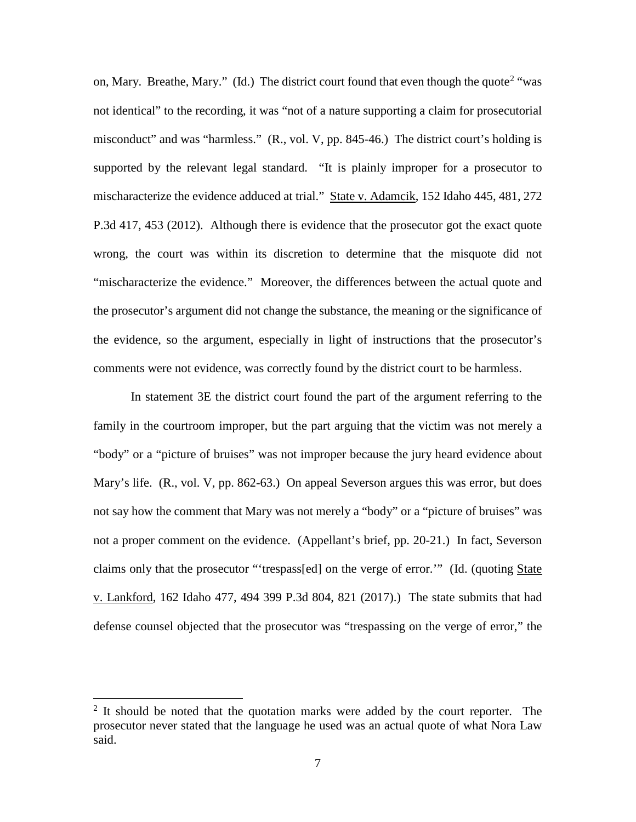on, Mary. Breathe, Mary." (Id.) The district court found that even though the quote<sup>[2](#page--1-1)</sup> "was not identical" to the recording, it was "not of a nature supporting a claim for prosecutorial misconduct" and was "harmless." (R., vol. V, pp. 845-46.) The district court's holding is supported by the relevant legal standard. "It is plainly improper for a prosecutor to mischaracterize the evidence adduced at trial." State v. Adamcik, 152 Idaho 445, 481, 272 P.3d 417, 453 (2012). Although there is evidence that the prosecutor got the exact quote wrong, the court was within its discretion to determine that the misquote did not "mischaracterize the evidence." Moreover, the differences between the actual quote and the prosecutor's argument did not change the substance, the meaning or the significance of the evidence, so the argument, especially in light of instructions that the prosecutor's comments were not evidence, was correctly found by the district court to be harmless.

In statement 3E the district court found the part of the argument referring to the family in the courtroom improper, but the part arguing that the victim was not merely a "body" or a "picture of bruises" was not improper because the jury heard evidence about Mary's life. (R., vol. V, pp. 862-63.) On appeal Severson argues this was error, but does not say how the comment that Mary was not merely a "body" or a "picture of bruises" was not a proper comment on the evidence. (Appellant's brief, pp. 20-21.) In fact, Severson claims only that the prosecutor "'trespass[ed] on the verge of error."" (Id. (quoting State v. Lankford, 162 Idaho 477, 494 399 P.3d 804, 821 (2017).) The state submits that had defense counsel objected that the prosecutor was "trespassing on the verge of error," the

 $\overline{a}$ 

 $2$  It should be noted that the quotation marks were added by the court reporter. The prosecutor never stated that the language he used was an actual quote of what Nora Law said.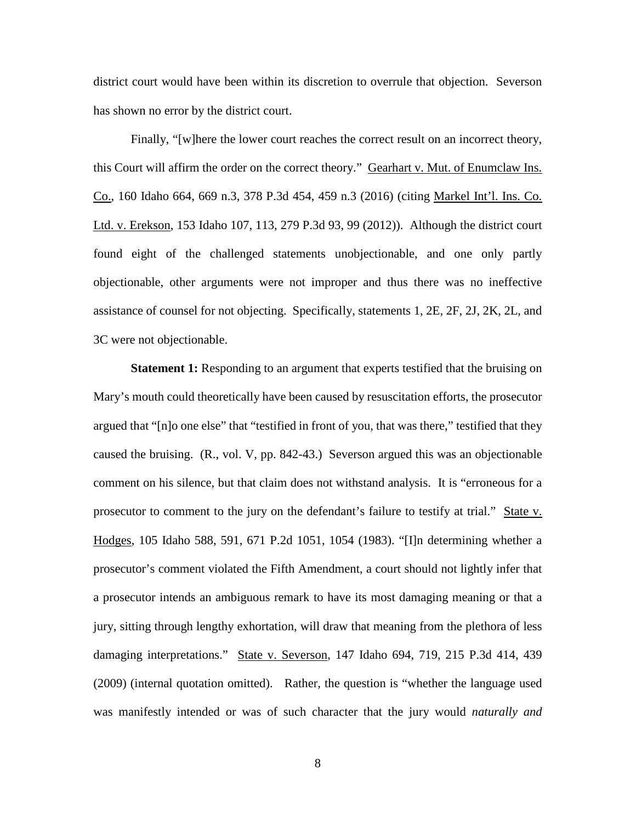district court would have been within its discretion to overrule that objection. Severson has shown no error by the district court.

Finally, "[w]here the lower court reaches the correct result on an incorrect theory, this Court will affirm the order on the correct theory." Gearhart v. Mut. of Enumclaw Ins. Co., 160 Idaho 664, 669 n.3, 378 P.3d 454, 459 n.3 (2016) (citing Markel Int'l. Ins. Co. Ltd. v. Erekson, 153 Idaho 107, 113, 279 P.3d 93, 99 (2012)). Although the district court found eight of the challenged statements unobjectionable, and one only partly objectionable, other arguments were not improper and thus there was no ineffective assistance of counsel for not objecting. Specifically, statements 1, 2E, 2F, 2J, 2K, 2L, and 3C were not objectionable.

**Statement 1:** Responding to an argument that experts testified that the bruising on Mary's mouth could theoretically have been caused by resuscitation efforts, the prosecutor argued that "[n]o one else" that "testified in front of you, that was there," testified that they caused the bruising. (R., vol. V, pp. 842-43.) Severson argued this was an objectionable comment on his silence, but that claim does not withstand analysis. It is "erroneous for a prosecutor to comment to the jury on the defendant's failure to testify at trial." State v. Hodges, 105 Idaho 588, 591, 671 P.2d 1051, 1054 (1983). "[I]n determining whether a prosecutor's comment violated the Fifth Amendment, a court should not lightly infer that a prosecutor intends an ambiguous remark to have its most damaging meaning or that a jury, sitting through lengthy exhortation, will draw that meaning from the plethora of less damaging interpretations." State v. Severson, 147 Idaho 694, 719, 215 P.3d 414, 439 (2009) (internal quotation omitted). Rather, the question is "whether the language used was manifestly intended or was of such character that the jury would *naturally and*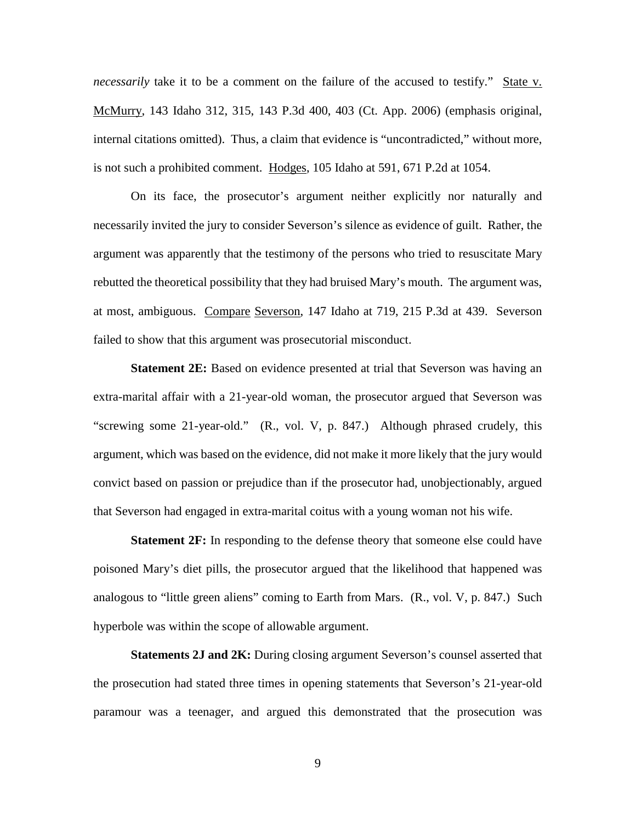*necessarily* take it to be a comment on the failure of the accused to testify." State v. McMurry, 143 Idaho 312, 315, 143 P.3d 400, 403 (Ct. App. 2006) (emphasis original, internal citations omitted). Thus, a claim that evidence is "uncontradicted," without more, is not such a prohibited comment. Hodges, 105 Idaho at 591, 671 P.2d at 1054.

On its face, the prosecutor's argument neither explicitly nor naturally and necessarily invited the jury to consider Severson's silence as evidence of guilt. Rather, the argument was apparently that the testimony of the persons who tried to resuscitate Mary rebutted the theoretical possibility that they had bruised Mary's mouth. The argument was, at most, ambiguous. Compare Severson, 147 Idaho at 719, 215 P.3d at 439. Severson failed to show that this argument was prosecutorial misconduct.

**Statement 2E:** Based on evidence presented at trial that Severson was having an extra-marital affair with a 21-year-old woman, the prosecutor argued that Severson was "screwing some 21-year-old." (R., vol. V, p. 847.) Although phrased crudely, this argument, which was based on the evidence, did not make it more likely that the jury would convict based on passion or prejudice than if the prosecutor had, unobjectionably, argued that Severson had engaged in extra-marital coitus with a young woman not his wife.

**Statement 2F:** In responding to the defense theory that someone else could have poisoned Mary's diet pills, the prosecutor argued that the likelihood that happened was analogous to "little green aliens" coming to Earth from Mars. (R., vol. V, p. 847.) Such hyperbole was within the scope of allowable argument.

**Statements 2J and 2K:** During closing argument Severson's counsel asserted that the prosecution had stated three times in opening statements that Severson's 21-year-old paramour was a teenager, and argued this demonstrated that the prosecution was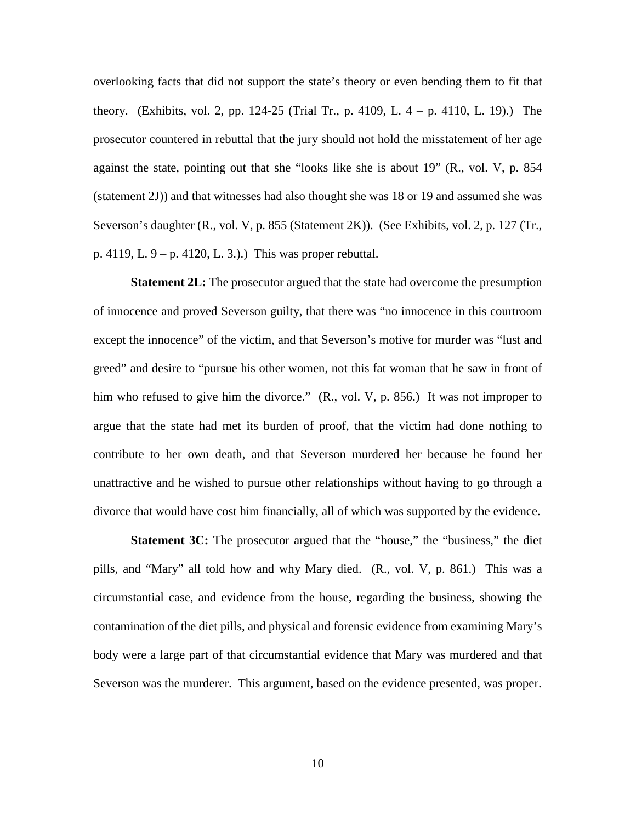overlooking facts that did not support the state's theory or even bending them to fit that theory. (Exhibits, vol. 2, pp. 124-25 (Trial Tr., p. 4109, L. 4 – p. 4110, L. 19).) The prosecutor countered in rebuttal that the jury should not hold the misstatement of her age against the state, pointing out that she "looks like she is about 19" (R., vol. V, p. 854 (statement 2J)) and that witnesses had also thought she was 18 or 19 and assumed she was Severson's daughter (R., vol. V, p. 855 (Statement 2K)). (See Exhibits, vol. 2, p. 127 (Tr., p. 4119, L. 9 – p. 4120, L. 3.).) This was proper rebuttal.

**Statement 2L:** The prosecutor argued that the state had overcome the presumption of innocence and proved Severson guilty, that there was "no innocence in this courtroom except the innocence" of the victim, and that Severson's motive for murder was "lust and greed" and desire to "pursue his other women, not this fat woman that he saw in front of him who refused to give him the divorce." (R., vol. V, p. 856.) It was not improper to argue that the state had met its burden of proof, that the victim had done nothing to contribute to her own death, and that Severson murdered her because he found her unattractive and he wished to pursue other relationships without having to go through a divorce that would have cost him financially, all of which was supported by the evidence.

**Statement 3C:** The prosecutor argued that the "house," the "business," the diet pills, and "Mary" all told how and why Mary died. (R., vol. V, p. 861.) This was a circumstantial case, and evidence from the house, regarding the business, showing the contamination of the diet pills, and physical and forensic evidence from examining Mary's body were a large part of that circumstantial evidence that Mary was murdered and that Severson was the murderer. This argument, based on the evidence presented, was proper.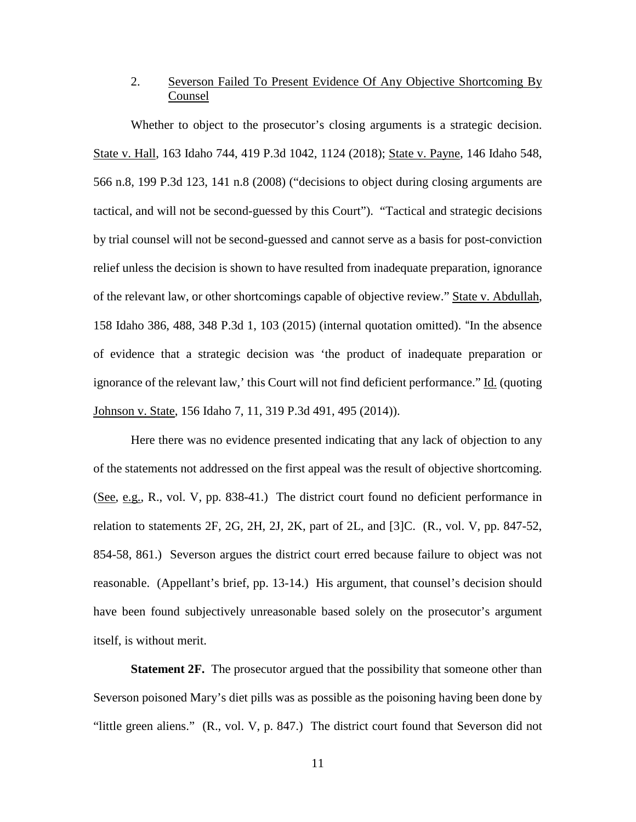## 2. Severson Failed To Present Evidence Of Any Objective Shortcoming By Counsel

Whether to object to the prosecutor's closing arguments is a strategic decision. State v. Hall, 163 Idaho 744, 419 P.3d 1042, 1124 (2018); State v. Payne, 146 Idaho 548, 566 n.8, 199 P.3d 123, 141 n.8 (2008) ("decisions to object during closing arguments are tactical, and will not be second-guessed by this Court"). "Tactical and strategic decisions by trial counsel will not be second-guessed and cannot serve as a basis for post-conviction relief unless the decision is shown to have resulted from inadequate preparation, ignorance of the relevant law, or other shortcomings capable of objective review." State v. Abdullah, 158 Idaho 386, 488, 348 P.3d 1, 103 (2015) (internal quotation omitted). "In the absence of evidence that a strategic decision was 'the product of inadequate preparation or ignorance of the relevant law,' this Court will not find deficient performance." Id. (quoting Johnson v. State, 156 Idaho 7, 11, 319 P.3d 491, 495 (2014)).

Here there was no evidence presented indicating that any lack of objection to any of the statements not addressed on the first appeal was the result of objective shortcoming. (See, e.g., R., vol. V, pp. 838-41.) The district court found no deficient performance in relation to statements  $2F$ ,  $2G$ ,  $2H$ ,  $2J$ ,  $2K$ , part of  $2L$ , and  $[3]C$ .  $(R_{1},$  vol.  $V$ , pp. 847-52, 854-58, 861.) Severson argues the district court erred because failure to object was not reasonable. (Appellant's brief, pp. 13-14.) His argument, that counsel's decision should have been found subjectively unreasonable based solely on the prosecutor's argument itself, is without merit.

**Statement 2F.** The prosecutor argued that the possibility that someone other than Severson poisoned Mary's diet pills was as possible as the poisoning having been done by "little green aliens." (R., vol. V, p. 847.) The district court found that Severson did not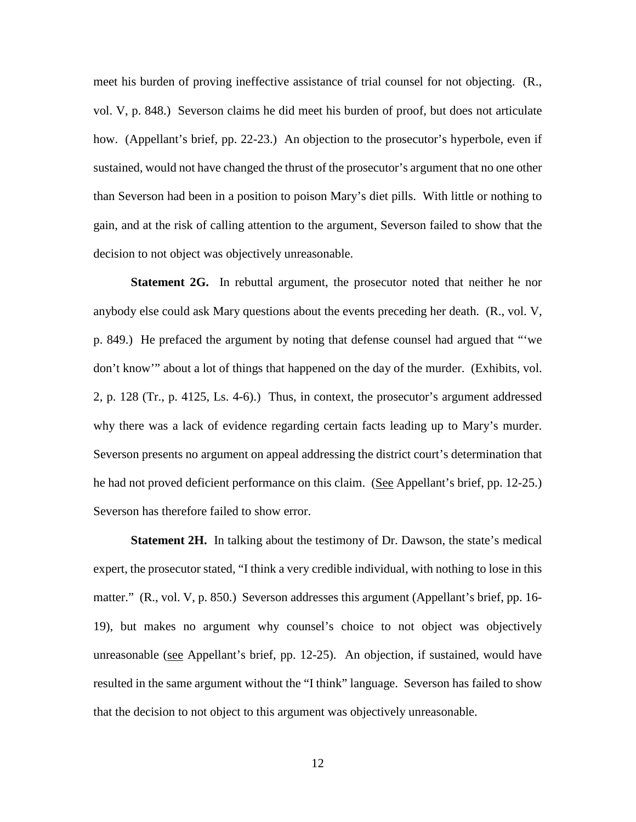meet his burden of proving ineffective assistance of trial counsel for not objecting. (R., vol. V, p. 848.) Severson claims he did meet his burden of proof, but does not articulate how. (Appellant's brief, pp. 22-23.) An objection to the prosecutor's hyperbole, even if sustained, would not have changed the thrust of the prosecutor's argument that no one other than Severson had been in a position to poison Mary's diet pills. With little or nothing to gain, and at the risk of calling attention to the argument, Severson failed to show that the decision to not object was objectively unreasonable.

**Statement 2G.** In rebuttal argument, the prosecutor noted that neither he nor anybody else could ask Mary questions about the events preceding her death. (R., vol. V, p. 849.) He prefaced the argument by noting that defense counsel had argued that "'we don't know'" about a lot of things that happened on the day of the murder. (Exhibits, vol. 2, p. 128 (Tr., p. 4125, Ls. 4-6).) Thus, in context, the prosecutor's argument addressed why there was a lack of evidence regarding certain facts leading up to Mary's murder. Severson presents no argument on appeal addressing the district court's determination that he had not proved deficient performance on this claim. (See Appellant's brief, pp. 12-25.) Severson has therefore failed to show error.

**Statement 2H.** In talking about the testimony of Dr. Dawson, the state's medical expert, the prosecutor stated, "I think a very credible individual, with nothing to lose in this matter." (R., vol. V, p. 850.) Severson addresses this argument (Appellant's brief, pp. 16- 19), but makes no argument why counsel's choice to not object was objectively unreasonable (see Appellant's brief, pp. 12-25). An objection, if sustained, would have resulted in the same argument without the "I think" language. Severson has failed to show that the decision to not object to this argument was objectively unreasonable.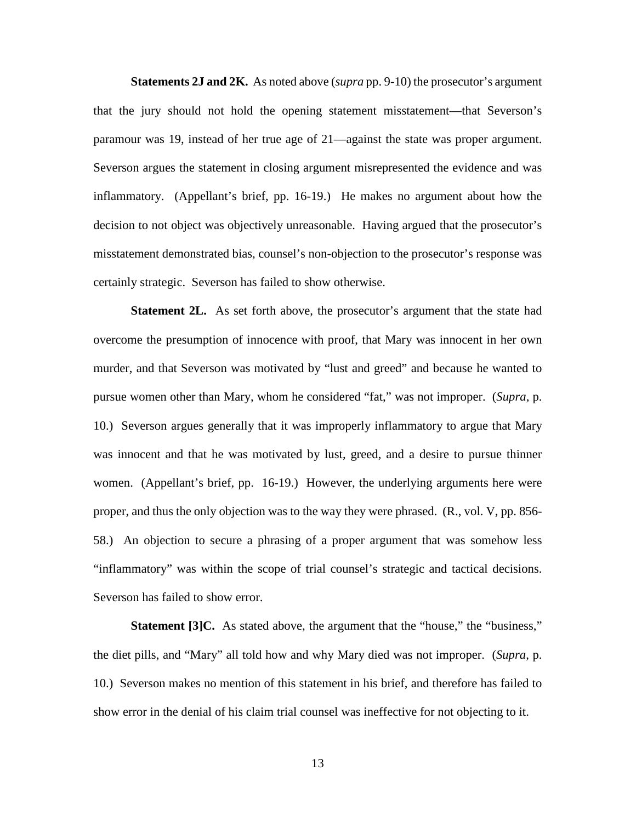**Statements 2J and 2K.** As noted above (*supra* pp. 9-10) the prosecutor's argument that the jury should not hold the opening statement misstatement—that Severson's paramour was 19, instead of her true age of 21—against the state was proper argument. Severson argues the statement in closing argument misrepresented the evidence and was inflammatory. (Appellant's brief, pp. 16-19.) He makes no argument about how the decision to not object was objectively unreasonable. Having argued that the prosecutor's misstatement demonstrated bias, counsel's non-objection to the prosecutor's response was certainly strategic. Severson has failed to show otherwise.

**Statement 2L.** As set forth above, the prosecutor's argument that the state had overcome the presumption of innocence with proof, that Mary was innocent in her own murder, and that Severson was motivated by "lust and greed" and because he wanted to pursue women other than Mary, whom he considered "fat," was not improper. (*Supra*, p. 10.) Severson argues generally that it was improperly inflammatory to argue that Mary was innocent and that he was motivated by lust, greed, and a desire to pursue thinner women. (Appellant's brief, pp. 16-19.) However, the underlying arguments here were proper, and thus the only objection was to the way they were phrased. (R., vol. V, pp. 856- 58.) An objection to secure a phrasing of a proper argument that was somehow less "inflammatory" was within the scope of trial counsel's strategic and tactical decisions. Severson has failed to show error.

**Statement [3]C.** As stated above, the argument that the "house," the "business," the diet pills, and "Mary" all told how and why Mary died was not improper. (*Supra*, p. 10.) Severson makes no mention of this statement in his brief, and therefore has failed to show error in the denial of his claim trial counsel was ineffective for not objecting to it.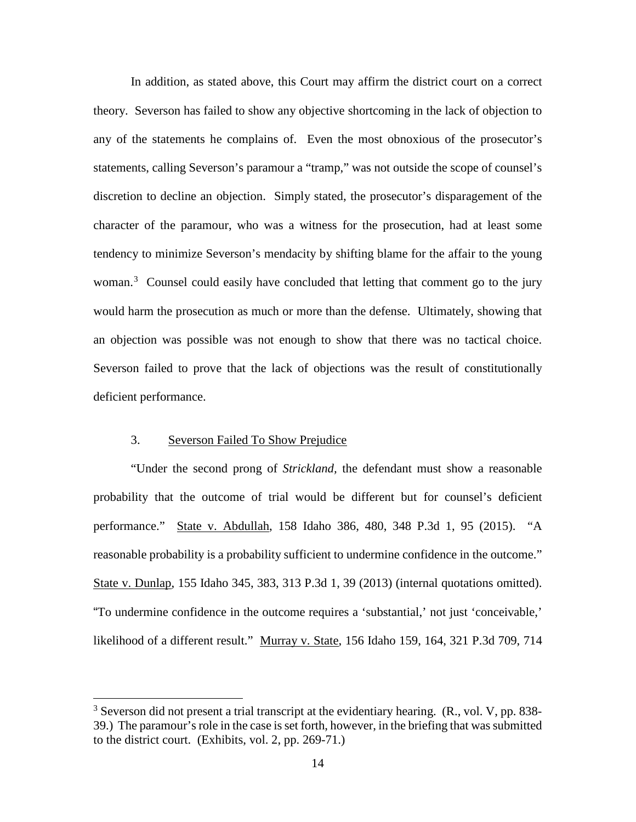In addition, as stated above, this Court may affirm the district court on a correct theory. Severson has failed to show any objective shortcoming in the lack of objection to any of the statements he complains of. Even the most obnoxious of the prosecutor's statements, calling Severson's paramour a "tramp," was not outside the scope of counsel's discretion to decline an objection. Simply stated, the prosecutor's disparagement of the character of the paramour, who was a witness for the prosecution, had at least some tendency to minimize Severson's mendacity by shifting blame for the affair to the young woman.<sup>[3](#page--1-1)</sup> Counsel could easily have concluded that letting that comment go to the jury would harm the prosecution as much or more than the defense. Ultimately, showing that an objection was possible was not enough to show that there was no tactical choice. Severson failed to prove that the lack of objections was the result of constitutionally deficient performance.

## 3. Severson Failed To Show Prejudice

 $\overline{a}$ 

"Under the second prong of *Strickland,* the defendant must show a reasonable probability that the outcome of trial would be different but for counsel's deficient performance." State v. Abdullah, 158 Idaho 386, 480, 348 P.3d 1, 95 (2015). "A reasonable probability is a probability sufficient to undermine confidence in the outcome." State v. Dunlap, 155 Idaho 345, 383, 313 P.3d 1, 39 (2013) (internal quotations omitted). "To undermine confidence in the outcome requires a 'substantial,' not just 'conceivable,' likelihood of a different result." Murray v. State, 156 Idaho 159, 164, 321 P.3d 709, 714

 $3$  Severson did not present a trial transcript at the evidentiary hearing. (R., vol. V, pp. 838-39.) The paramour's role in the case is set forth, however, in the briefing that was submitted to the district court. (Exhibits, vol. 2, pp. 269-71.)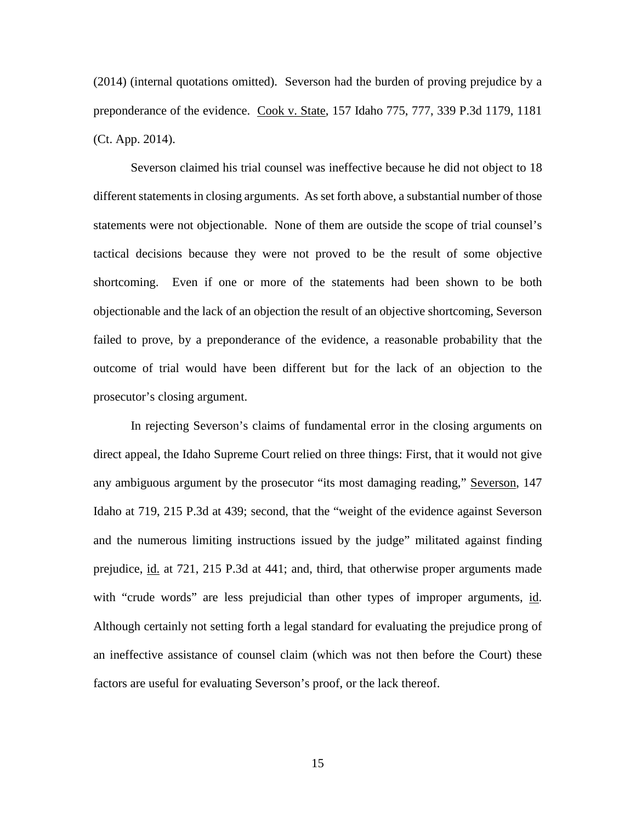(2014) (internal quotations omitted). Severson had the burden of proving prejudice by a preponderance of the evidence. Cook v. State, 157 Idaho 775, 777, 339 P.3d 1179, 1181 (Ct. App. 2014).

Severson claimed his trial counsel was ineffective because he did not object to 18 different statements in closing arguments. As set forth above, a substantial number of those statements were not objectionable. None of them are outside the scope of trial counsel's tactical decisions because they were not proved to be the result of some objective shortcoming. Even if one or more of the statements had been shown to be both objectionable and the lack of an objection the result of an objective shortcoming, Severson failed to prove, by a preponderance of the evidence, a reasonable probability that the outcome of trial would have been different but for the lack of an objection to the prosecutor's closing argument.

In rejecting Severson's claims of fundamental error in the closing arguments on direct appeal, the Idaho Supreme Court relied on three things: First, that it would not give any ambiguous argument by the prosecutor "its most damaging reading," Severson, 147 Idaho at 719, 215 P.3d at 439; second, that the "weight of the evidence against Severson and the numerous limiting instructions issued by the judge" militated against finding prejudice, id. at 721, 215 P.3d at 441; and, third, that otherwise proper arguments made with "crude words" are less prejudicial than other types of improper arguments, id. Although certainly not setting forth a legal standard for evaluating the prejudice prong of an ineffective assistance of counsel claim (which was not then before the Court) these factors are useful for evaluating Severson's proof, or the lack thereof.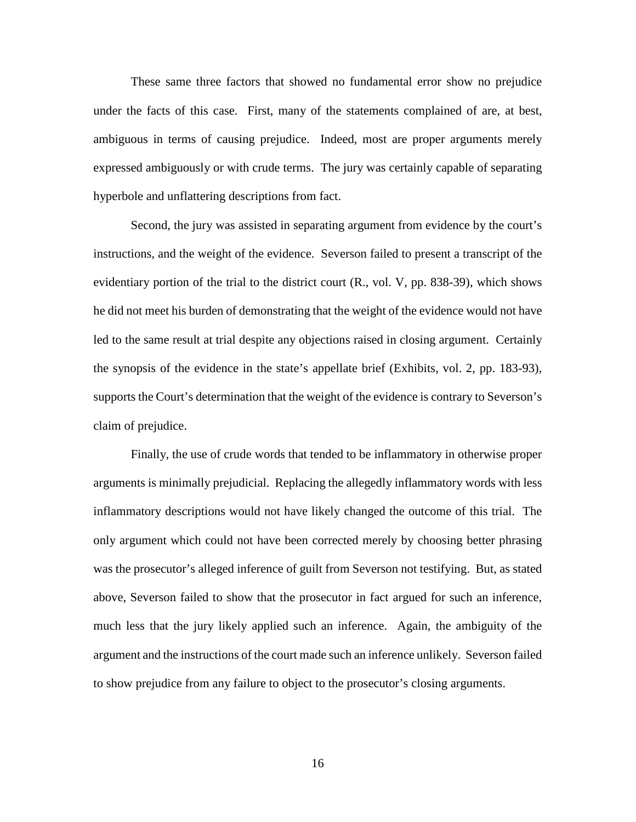These same three factors that showed no fundamental error show no prejudice under the facts of this case. First, many of the statements complained of are, at best, ambiguous in terms of causing prejudice. Indeed, most are proper arguments merely expressed ambiguously or with crude terms. The jury was certainly capable of separating hyperbole and unflattering descriptions from fact.

Second, the jury was assisted in separating argument from evidence by the court's instructions, and the weight of the evidence. Severson failed to present a transcript of the evidentiary portion of the trial to the district court (R., vol. V, pp. 838-39), which shows he did not meet his burden of demonstrating that the weight of the evidence would not have led to the same result at trial despite any objections raised in closing argument. Certainly the synopsis of the evidence in the state's appellate brief (Exhibits, vol. 2, pp. 183-93), supports the Court's determination that the weight of the evidence is contrary to Severson's claim of prejudice.

Finally, the use of crude words that tended to be inflammatory in otherwise proper arguments is minimally prejudicial. Replacing the allegedly inflammatory words with less inflammatory descriptions would not have likely changed the outcome of this trial. The only argument which could not have been corrected merely by choosing better phrasing was the prosecutor's alleged inference of guilt from Severson not testifying. But, as stated above, Severson failed to show that the prosecutor in fact argued for such an inference, much less that the jury likely applied such an inference. Again, the ambiguity of the argument and the instructions of the court made such an inference unlikely. Severson failed to show prejudice from any failure to object to the prosecutor's closing arguments.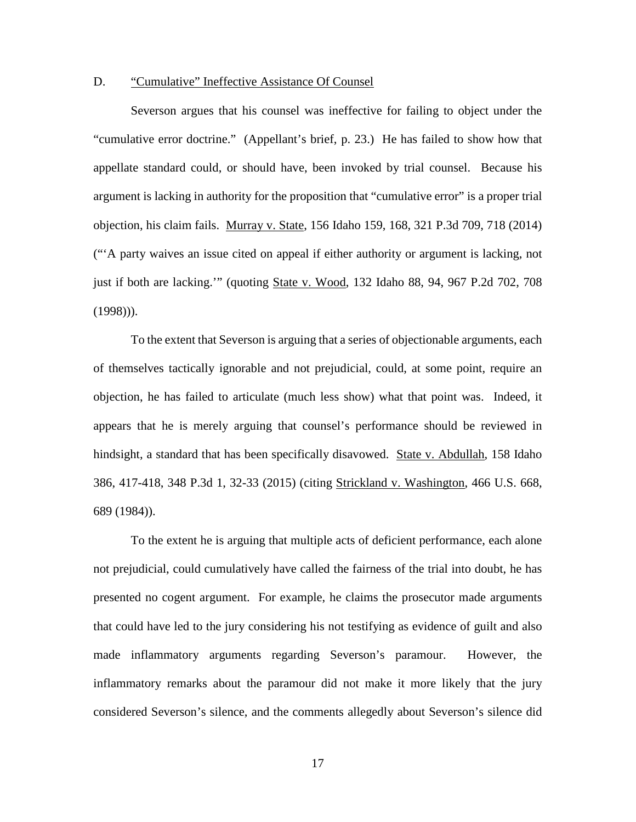#### D. "Cumulative" Ineffective Assistance Of Counsel

Severson argues that his counsel was ineffective for failing to object under the "cumulative error doctrine." (Appellant's brief, p. 23.) He has failed to show how that appellate standard could, or should have, been invoked by trial counsel. Because his argument is lacking in authority for the proposition that "cumulative error" is a proper trial objection, his claim fails. Murray v. State, 156 Idaho 159, 168, 321 P.3d 709, 718 (2014) ("'A party waives an issue cited on appeal if either authority or argument is lacking, not just if both are lacking.'" (quoting State v. Wood, 132 Idaho 88, 94, 967 P.2d 702, 708  $(1998)$ ).

To the extent that Severson is arguing that a series of objectionable arguments, each of themselves tactically ignorable and not prejudicial, could, at some point, require an objection, he has failed to articulate (much less show) what that point was. Indeed, it appears that he is merely arguing that counsel's performance should be reviewed in hindsight, a standard that has been specifically disavowed. State v. Abdullah, 158 Idaho 386, 417-418, 348 P.3d 1, 32-33 (2015) (citing Strickland v. Washington, 466 U.S. 668, 689 (1984)).

To the extent he is arguing that multiple acts of deficient performance, each alone not prejudicial, could cumulatively have called the fairness of the trial into doubt, he has presented no cogent argument. For example, he claims the prosecutor made arguments that could have led to the jury considering his not testifying as evidence of guilt and also made inflammatory arguments regarding Severson's paramour. However, the inflammatory remarks about the paramour did not make it more likely that the jury considered Severson's silence, and the comments allegedly about Severson's silence did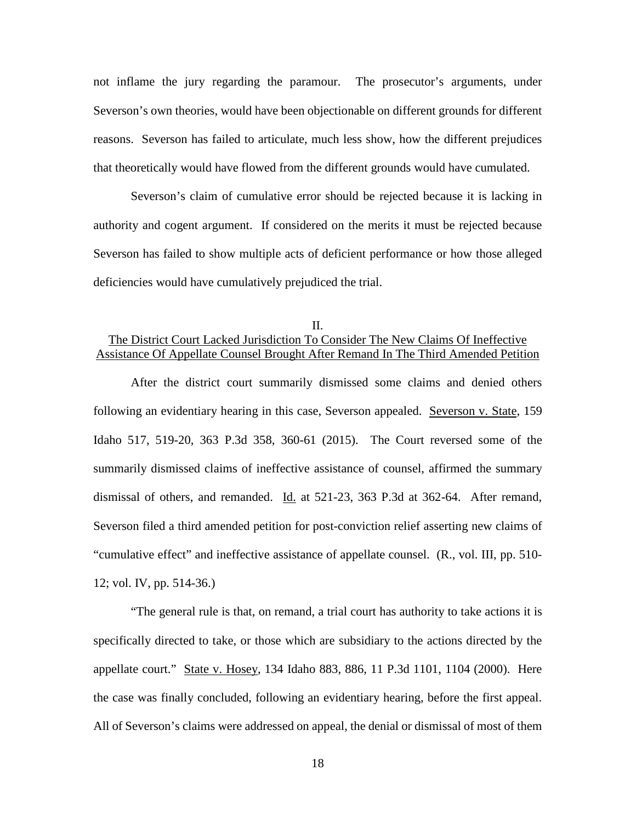not inflame the jury regarding the paramour. The prosecutor's arguments, under Severson's own theories, would have been objectionable on different grounds for different reasons. Severson has failed to articulate, much less show, how the different prejudices that theoretically would have flowed from the different grounds would have cumulated.

Severson's claim of cumulative error should be rejected because it is lacking in authority and cogent argument. If considered on the merits it must be rejected because Severson has failed to show multiple acts of deficient performance or how those alleged deficiencies would have cumulatively prejudiced the trial.

## II. The District Court Lacked Jurisdiction To Consider The New Claims Of Ineffective Assistance Of Appellate Counsel Brought After Remand In The Third Amended Petition

After the district court summarily dismissed some claims and denied others following an evidentiary hearing in this case, Severson appealed. Severson v. State, 159 Idaho 517, 519-20, 363 P.3d 358, 360-61 (2015). The Court reversed some of the summarily dismissed claims of ineffective assistance of counsel, affirmed the summary dismissal of others, and remanded. Id. at 521-23, 363 P.3d at 362-64. After remand, Severson filed a third amended petition for post-conviction relief asserting new claims of "cumulative effect" and ineffective assistance of appellate counsel. (R., vol. III, pp. 510- 12; vol. IV, pp. 514-36.)

 "The general rule is that, on remand, a trial court has authority to take actions it is specifically directed to take, or those which are subsidiary to the actions directed by the appellate court." State v. Hosey, 134 Idaho 883, 886, 11 P.3d 1101, 1104 (2000). Here the case was finally concluded, following an evidentiary hearing, before the first appeal. All of Severson's claims were addressed on appeal, the denial or dismissal of most of them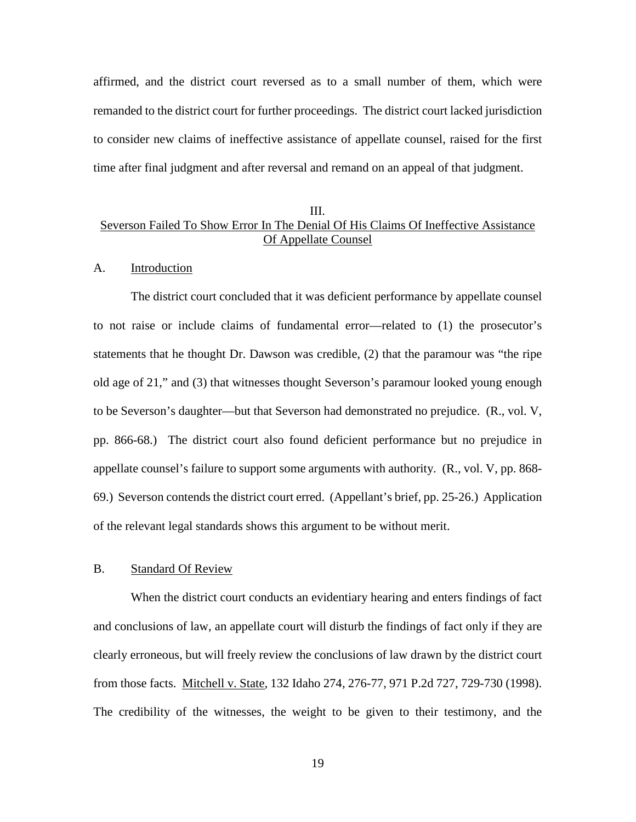affirmed, and the district court reversed as to a small number of them, which were remanded to the district court for further proceedings. The district court lacked jurisdiction to consider new claims of ineffective assistance of appellate counsel, raised for the first time after final judgment and after reversal and remand on an appeal of that judgment.

## III. Severson Failed To Show Error In The Denial Of His Claims Of Ineffective Assistance Of Appellate Counsel

#### A. Introduction

The district court concluded that it was deficient performance by appellate counsel to not raise or include claims of fundamental error—related to (1) the prosecutor's statements that he thought Dr. Dawson was credible, (2) that the paramour was "the ripe old age of 21," and (3) that witnesses thought Severson's paramour looked young enough to be Severson's daughter—but that Severson had demonstrated no prejudice. (R., vol. V, pp. 866-68.) The district court also found deficient performance but no prejudice in appellate counsel's failure to support some arguments with authority. (R., vol. V, pp. 868- 69.) Severson contends the district court erred. (Appellant's brief, pp. 25-26.) Application of the relevant legal standards shows this argument to be without merit.

#### B. Standard Of Review

When the district court conducts an evidentiary hearing and enters findings of fact and conclusions of law, an appellate court will disturb the findings of fact only if they are clearly erroneous, but will freely review the conclusions of law drawn by the district court from those facts. Mitchell v. State, 132 Idaho 274, 276-77, 971 P.2d 727, 729-730 (1998). The credibility of the witnesses, the weight to be given to their testimony, and the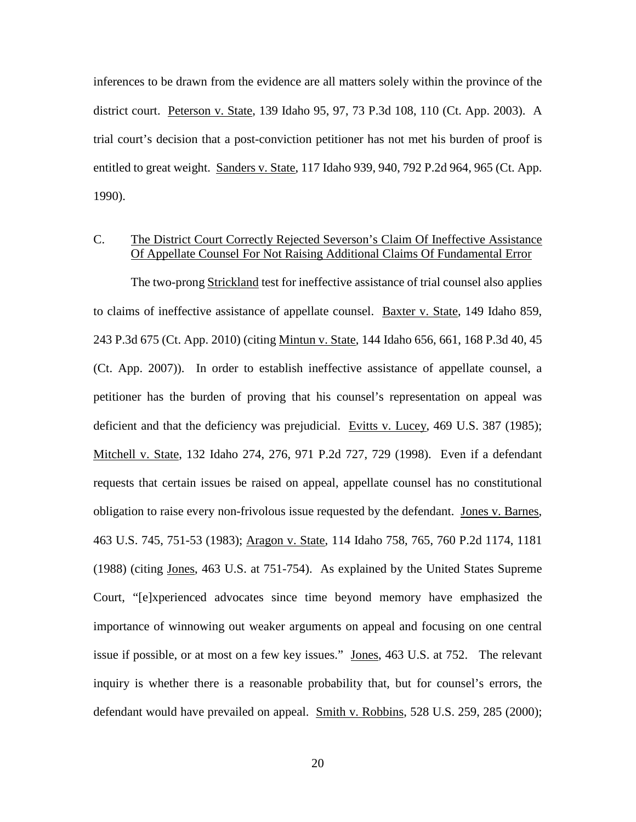inferences to be drawn from the evidence are all matters solely within the province of the district court. Peterson v. State, 139 Idaho 95, 97, 73 P.3d 108, 110 (Ct. App. 2003). A trial court's decision that a post-conviction petitioner has not met his burden of proof is entitled to great weight. Sanders v. State, 117 Idaho 939, 940, 792 P.2d 964, 965 (Ct. App. 1990).

## C. The District Court Correctly Rejected Severson's Claim Of Ineffective Assistance Of Appellate Counsel For Not Raising Additional Claims Of Fundamental Error

The two-prong Strickland test for ineffective assistance of trial counsel also applies to claims of ineffective assistance of appellate counsel. Baxter v. State, 149 Idaho 859, 243 P.3d 675 (Ct. App. 2010) (citing Mintun v. State, 144 Idaho 656, 661, 168 P.3d 40, 45 (Ct. App. 2007)). In order to establish ineffective assistance of appellate counsel, a petitioner has the burden of proving that his counsel's representation on appeal was deficient and that the deficiency was prejudicial. Evitts v. Lucey, 469 U.S. 387 (1985); Mitchell v. State, 132 Idaho 274, 276, 971 P.2d 727, 729 (1998). Even if a defendant requests that certain issues be raised on appeal, appellate counsel has no constitutional obligation to raise every non-frivolous issue requested by the defendant. Jones v. Barnes, 463 U.S. 745, 751-53 (1983); Aragon v. State, 114 Idaho 758, 765, 760 P.2d 1174, 1181 (1988) (citing Jones, 463 U.S. at 751-754). As explained by the United States Supreme Court, "[e]xperienced advocates since time beyond memory have emphasized the importance of winnowing out weaker arguments on appeal and focusing on one central issue if possible, or at most on a few key issues." Jones, 463 U.S. at 752. The relevant inquiry is whether there is a reasonable probability that, but for counsel's errors, the defendant would have prevailed on appeal. Smith v. Robbins, 528 U.S. 259, 285 (2000);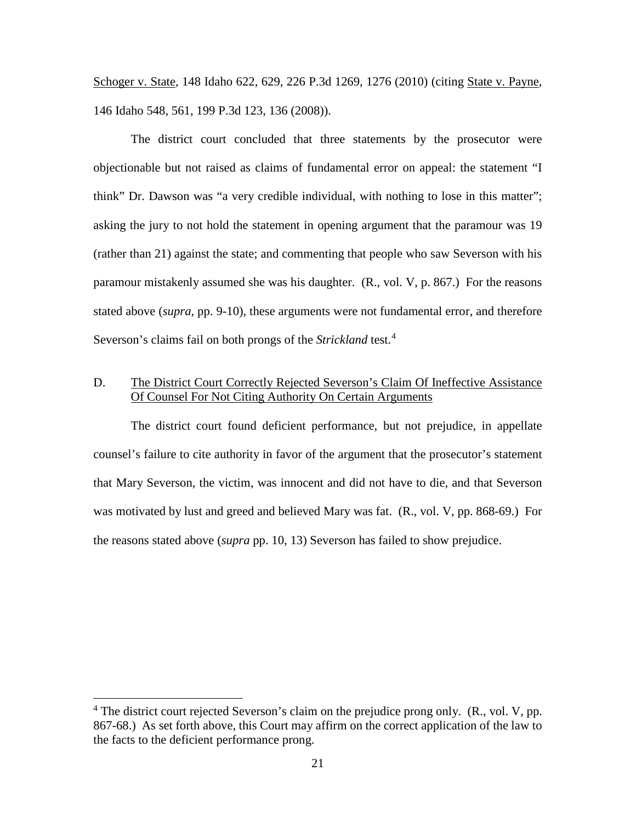Schoger v. State, 148 Idaho 622, 629, 226 P.3d 1269, 1276 (2010) (citing State v. Payne, 146 Idaho 548, 561, 199 P.3d 123, 136 (2008)).

The district court concluded that three statements by the prosecutor were objectionable but not raised as claims of fundamental error on appeal: the statement "I think" Dr. Dawson was "a very credible individual, with nothing to lose in this matter"; asking the jury to not hold the statement in opening argument that the paramour was 19 (rather than 21) against the state; and commenting that people who saw Severson with his paramour mistakenly assumed she was his daughter. (R., vol. V, p. 867.) For the reasons stated above (*supra*, pp. 9-10), these arguments were not fundamental error, and therefore Severson's claims fail on both prongs of the *Strickland* test.<sup>[4](#page--1-1)</sup>

## D. The District Court Correctly Rejected Severson's Claim Of Ineffective Assistance Of Counsel For Not Citing Authority On Certain Arguments

The district court found deficient performance, but not prejudice, in appellate counsel's failure to cite authority in favor of the argument that the prosecutor's statement that Mary Severson, the victim, was innocent and did not have to die, and that Severson was motivated by lust and greed and believed Mary was fat. (R., vol. V, pp. 868-69.) For the reasons stated above (*supra* pp. 10, 13) Severson has failed to show prejudice.

 $\overline{a}$ 

 $4$  The district court rejected Severson's claim on the prejudice prong only. (R., vol. V, pp. 867-68.) As set forth above, this Court may affirm on the correct application of the law to the facts to the deficient performance prong.